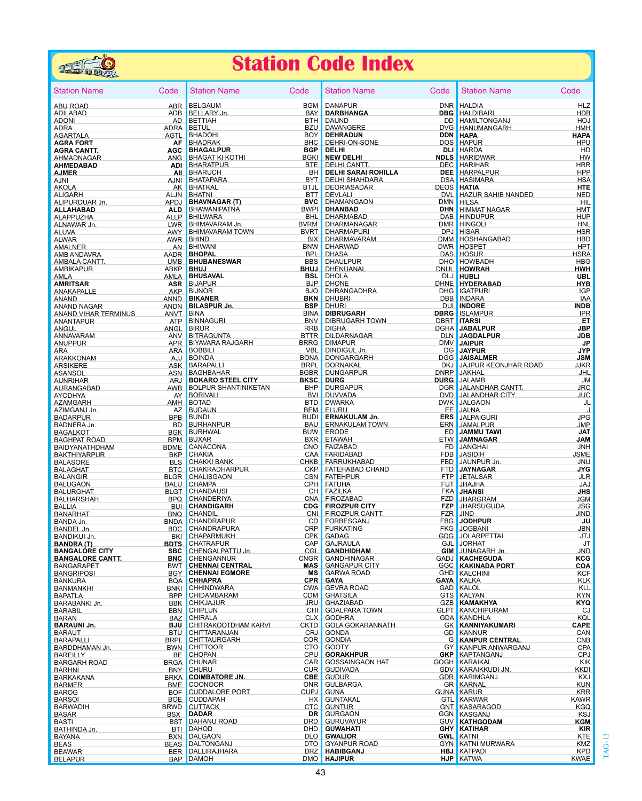

## **Station Code Index**

| <b>Station Name</b>                                                                                                                                                                                                                                       | Code                            | <b>Station Name</b>                                                                                                                                                                                                        | Code              | <b>Station Name</b>                                      | Code                | <b>Station Name</b>                                                                                                                                                                                                                      | Code                      |
|-----------------------------------------------------------------------------------------------------------------------------------------------------------------------------------------------------------------------------------------------------------|---------------------------------|----------------------------------------------------------------------------------------------------------------------------------------------------------------------------------------------------------------------------|-------------------|----------------------------------------------------------|---------------------|------------------------------------------------------------------------------------------------------------------------------------------------------------------------------------------------------------------------------------------|---------------------------|
| ABU ROAD                                                                                                                                                                                                                                                  |                                 |                                                                                                                                                                                                                            |                   | DANAPUR<br><b>DARBHANGA</b><br>DAUND                     |                     | DNR HALDIA<br>DBG HALDIBARI<br>_DD HAMILTONGANJ<br>DNR HALDIA                                                                                                                                                                            | <b>HLZ</b>                |
| ADILABAD                                                                                                                                                                                                                                                  |                                 |                                                                                                                                                                                                                            |                   |                                                          |                     | <b>DBG</b> HALDIBARI                                                                                                                                                                                                                     | <b>HDB</b>                |
| <b>ADONI</b>                                                                                                                                                                                                                                              |                                 |                                                                                                                                                                                                                            |                   |                                                          |                     |                                                                                                                                                                                                                                          | <b>HOJ</b>                |
| <b>ADRA</b>                                                                                                                                                                                                                                               |                                 |                                                                                                                                                                                                                            |                   | DAVANGERE<br>DEHRADUN<br>DEHRI-ON-SONE<br>DELHI<br>DELHI |                     | DVG HANUMANGARH                                                                                                                                                                                                                          | HMH                       |
| AURA<br>AGRAFIALA<br>AGRAFIALA AGRAFIALA AGRAFIALA AGRAFIALA AGRAFIALA AGRAFIALA AGRAFIALA ANG BHAGATIKI KOTHI BOKI<br>AHMEDABAR ANG BHARATPUR BTE<br>AHMEDABAD AJNI BHARATPUR BH<br>AJNI AJNI AJNI BHATAPARA BYT<br>AJNI AJNI AJNI BHATAR                |                                 |                                                                                                                                                                                                                            |                   |                                                          | <b>DDN HAPA</b>     |                                                                                                                                                                                                                                          | <b>HAPA</b>               |
|                                                                                                                                                                                                                                                           |                                 |                                                                                                                                                                                                                            |                   |                                                          |                     | DOS HAPUR                                                                                                                                                                                                                                | <b>HPU</b>                |
|                                                                                                                                                                                                                                                           |                                 |                                                                                                                                                                                                                            |                   |                                                          |                     | <b>DELHI DU HARDA<br/> NEW DELHI NEW YORK HARDWAR<br/> DELHI SARAI ROHILLA DE HARIFIAR<br/> DELHI SARAI ROHILLA DE HARPALPUR<br/> DELHI SHAHDARA DSA HASIMARA DELHI SHAHDARA DSA HASIMARA</b>                                            | HD                        |
|                                                                                                                                                                                                                                                           |                                 |                                                                                                                                                                                                                            |                   |                                                          |                     |                                                                                                                                                                                                                                          | <b>HW</b><br><b>HRR</b>   |
|                                                                                                                                                                                                                                                           |                                 |                                                                                                                                                                                                                            |                   |                                                          |                     |                                                                                                                                                                                                                                          | <b>HPP</b>                |
|                                                                                                                                                                                                                                                           |                                 |                                                                                                                                                                                                                            |                   |                                                          |                     |                                                                                                                                                                                                                                          | <b>HSA</b>                |
|                                                                                                                                                                                                                                                           |                                 |                                                                                                                                                                                                                            |                   | DEORIASADAR DEOS HATIA                                   |                     |                                                                                                                                                                                                                                          | <b>HTE</b>                |
| ANDEARH<br>ALIGARH<br>ALIPURDUAR Jn.                                                                                                                                                                                                                      |                                 | AN BHATAIL<br>AD BHATAI<br>APDJ BHAWANIPATNA BWPI<br>ALLD BHAWANIPATNA BWPI<br>ALLD BHIWARA<br>ALLP BHIMAVARAM Jn. BYRM<br>AWY BHIMAVARAM Jn. BVRM<br>AWY BHIMAVARAM TOWN BVRT<br>AWY BHIMAVARAM TOWN BUX<br>AN BHIMANI    |                   |                                                          |                     | DECINISADAR DECISION NATIONAL DESCRIPTION OF THE DEVICE OF THE DEVICE OF THE DEVICE OF THE DEVICE OF THE DEVICE<br>DECISION ON THE DAMANGAN DIN HIMMAT NAGAR<br>DHARMARADA<br>DHARMANAGAR DAR HINDOLI<br>DHARMANAGAR DAR HINDOLI<br>DHAR | <b>NED</b>                |
|                                                                                                                                                                                                                                                           |                                 |                                                                                                                                                                                                                            |                   |                                                          |                     |                                                                                                                                                                                                                                          | - HIL                     |
|                                                                                                                                                                                                                                                           |                                 |                                                                                                                                                                                                                            |                   |                                                          |                     |                                                                                                                                                                                                                                          | <b>HMT</b>                |
| ALIP BHAWARI<br>ALAPPUZHA ALLP BHAWANT<br>ALAPPUZHA ALLP BHIMAVAR<br>ALAPPUZHA ALLP BHIMAVAR<br>ALVAR AWARI<br>AMALNER AWARIM AMBALA CANTT. AADR BHOPAL<br>AMBALA CANTT. ABR BHOPAL<br>AMBALA CANTT. ABR BHOPAL<br>AMBALA CANTT. ABRP BHOPAL<br>AMBALA CA |                                 | ALLP BHILWARA                                                                                                                                                                                                              |                   |                                                          |                     |                                                                                                                                                                                                                                          | <b>HUP</b>                |
|                                                                                                                                                                                                                                                           |                                 |                                                                                                                                                                                                                            |                   |                                                          |                     |                                                                                                                                                                                                                                          | HNL                       |
|                                                                                                                                                                                                                                                           |                                 |                                                                                                                                                                                                                            |                   |                                                          |                     |                                                                                                                                                                                                                                          | <b>HSR</b>                |
|                                                                                                                                                                                                                                                           |                                 |                                                                                                                                                                                                                            |                   |                                                          |                     |                                                                                                                                                                                                                                          | <b>HBD</b>                |
|                                                                                                                                                                                                                                                           |                                 |                                                                                                                                                                                                                            |                   | DHARWAD                                                  |                     | DWR HOSPET                                                                                                                                                                                                                               | <b>HPT</b>                |
|                                                                                                                                                                                                                                                           |                                 |                                                                                                                                                                                                                            |                   |                                                          |                     | DHASA DAS HOSUR<br>DHAULPUR DHO HOWBADH<br>DHENUANAL DNUL HOWRAH                                                                                                                                                                         | <b>HSRA</b>               |
|                                                                                                                                                                                                                                                           |                                 |                                                                                                                                                                                                                            |                   |                                                          |                     |                                                                                                                                                                                                                                          | <b>HBG</b><br><b>HWH</b>  |
|                                                                                                                                                                                                                                                           |                                 |                                                                                                                                                                                                                            |                   |                                                          |                     |                                                                                                                                                                                                                                          | <b>UBL</b>                |
|                                                                                                                                                                                                                                                           |                                 |                                                                                                                                                                                                                            |                   |                                                          |                     |                                                                                                                                                                                                                                          | <b>HYB</b>                |
|                                                                                                                                                                                                                                                           |                                 |                                                                                                                                                                                                                            |                   |                                                          |                     |                                                                                                                                                                                                                                          | <b>IGP</b>                |
|                                                                                                                                                                                                                                                           |                                 |                                                                                                                                                                                                                            |                   |                                                          |                     |                                                                                                                                                                                                                                          | IAA                       |
|                                                                                                                                                                                                                                                           |                                 |                                                                                                                                                                                                                            |                   |                                                          |                     | DHOLA<br>DHONE DHONE DHONE DHONE NOBEL<br>DHRANGADHRA DHO IGATPURI<br>DHURI DB INDARA<br>DHURI DU INDORE                                                                                                                                 | <b>INDB</b>               |
|                                                                                                                                                                                                                                                           |                                 |                                                                                                                                                                                                                            |                   |                                                          |                     |                                                                                                                                                                                                                                          | <b>IPR</b>                |
| MANUSING ANGELIA CONTRACT AND BRIDGES AND BRIDGES AND ANNOUNCE AND BRIDGES AND BRIDGES AND A SERVED AND A SERVED AND A SERVED ANGELIA ANGELIA ANGELE AND BRIDGES AND A SERVED AND BRIDGES AND BRIDGES AND A SERVED AND BRIDGES                            |                                 | ANUT DIASPURJI.<br>ANY BINA<br>ATP BINAGURI BINA BINA<br>ANGL BIRUR RRB<br>ANGL BIRUR RRB<br>ANG BITAGGUNTA BRRB<br>ARA BOBBILI DENINGARA BORNA<br>ARA BOBBILI DENINGARA BORNA<br>AJ BOINDA BONDALLI RDDI<br>ASK BARAPALLI |                   |                                                          |                     | DHURI DUI INDORE<br>DIBRUGARH DBRG ISLAMPUR<br>DIBRUGARH TOWN DBRT ITARSI                                                                                                                                                                | ET                        |
|                                                                                                                                                                                                                                                           |                                 |                                                                                                                                                                                                                            |                   |                                                          |                     |                                                                                                                                                                                                                                          | <b>JBP</b>                |
| ANGUL<br>ANGUL<br>ANGUNA ANG BIYAVARAM<br>ANG BIYAVARAM<br>ARA ARA BOBBIL<br>ARAKKONAM ARA BOBBIL<br>ARAKKONAM AJJ BONDAR<br>ARA BOBBIL<br>ARA BOBBIL<br>ARA BORDAR                                                                                       |                                 |                                                                                                                                                                                                                            |                   |                                                          |                     | DIGHA<br>DILDARNAGAR  DILDARNAGAR  DILDARNAGAR  DILDARNAGAR  DILDARNAGAR  DILDARNAGAR  DILDARNAGAR  DILDARNAGAR  DILDARNAGAR  DILDARNAGAR  DILDARNAGAR  DILDARNAGAR  DILDARNAGAR  DILDARNAGAR  DILDARNAGAR  DILDARNAGAR  DILDARN         | <b>JDB</b>                |
|                                                                                                                                                                                                                                                           |                                 |                                                                                                                                                                                                                            |                   |                                                          |                     | $\overline{a}$                                                                                                                                                                                                                           | <b>JP</b>                 |
|                                                                                                                                                                                                                                                           |                                 |                                                                                                                                                                                                                            |                   |                                                          |                     |                                                                                                                                                                                                                                          | <b>JYP</b>                |
|                                                                                                                                                                                                                                                           |                                 |                                                                                                                                                                                                                            |                   |                                                          |                     |                                                                                                                                                                                                                                          | <b>JSM</b>                |
|                                                                                                                                                                                                                                                           |                                 |                                                                                                                                                                                                                            |                   |                                                          |                     | EXAM DORNAKAL DORNAKAL DUG JAJPUR KEONJHAR ROAD JIKR<br>BRPL DORNAKAL DUG DURG DURG JALAMB JM<br>BRPL DURG DURG DURG JALAMB JM<br>BH DURGAPUR DURG JALAMB JM<br>BH DURGAPUR DORNAKA DVD JALAMDHAR CANTT. JICR<br>BTD DWARKA DVD JALAMDHA |                           |
|                                                                                                                                                                                                                                                           |                                 |                                                                                                                                                                                                                            |                   |                                                          |                     |                                                                                                                                                                                                                                          |                           |
|                                                                                                                                                                                                                                                           |                                 |                                                                                                                                                                                                                            |                   |                                                          |                     |                                                                                                                                                                                                                                          |                           |
|                                                                                                                                                                                                                                                           |                                 |                                                                                                                                                                                                                            |                   |                                                          |                     |                                                                                                                                                                                                                                          |                           |
|                                                                                                                                                                                                                                                           |                                 |                                                                                                                                                                                                                            |                   |                                                          |                     |                                                                                                                                                                                                                                          |                           |
|                                                                                                                                                                                                                                                           |                                 |                                                                                                                                                                                                                            |                   |                                                          |                     |                                                                                                                                                                                                                                          |                           |
|                                                                                                                                                                                                                                                           |                                 |                                                                                                                                                                                                                            |                   |                                                          |                     |                                                                                                                                                                                                                                          |                           |
| ARAKKONAM AJJEBOINDA BORNE ASSANCE ASSANCE ASSANCE ASSANCE ASSANCE ASSANCE ASSANCE ASSANCE ASSANCE ASSANCE ASSANCE ASSANCE ASSANCE ARREST AND REAL PARANCE ASSANCE AND REAL PARANCE ASSANCE AND ARREST AND A SAME AND A BORN A                            |                                 |                                                                                                                                                                                                                            |                   | ERNAKULAM TOWN ERN JAMALPUR                              |                     | AM Jn.<br>EE JALNA<br>EE JALNA<br>EE JALNA<br>EES JALPAIGURI<br>MITOWN EEN JAMALPUR<br>ED JAMMAGAR<br>FD JAMMAGAR<br>FD JANGHAI                                                                                                          | <b>JMP</b>                |
|                                                                                                                                                                                                                                                           |                                 |                                                                                                                                                                                                                            |                   | ERODE                                                    |                     |                                                                                                                                                                                                                                          | <b>JAT</b>                |
|                                                                                                                                                                                                                                                           |                                 |                                                                                                                                                                                                                            |                   | BXR ETAWAH                                               |                     |                                                                                                                                                                                                                                          | <b>JAM</b>                |
|                                                                                                                                                                                                                                                           |                                 |                                                                                                                                                                                                                            |                   | FAIZABAD                                                 |                     | FD JANGHAI<br>FDB JASIDIH<br>FBD JAUNPUR Jn.<br>FTD <b>JAYNAGAR</b>                                                                                                                                                                      | JNH                       |
| BAKTHIYARPUR<br>BALASORE<br>BALAGHAT                                                                                                                                                                                                                      | <b>BKP</b>                      | <b>CHAKIA</b><br>CAA                                                                                                                                                                                                       |                   | FARIDABAD <b>Andrew Marshall Street (1997)</b>           |                     |                                                                                                                                                                                                                                          | <b>JSME</b>               |
|                                                                                                                                                                                                                                                           |                                 | <b>ENS CHAKKI BANK CHE FARRUKHABAD<br/>BIS CHAKRADHARPUR CHE FATEHABAD CHAND<br/>BLGR CHALISGAON CSN FATEHPUR<br/>CSN FATEHPUR</b>                                                                                         |                   | FARRUKHABAD<br>FATEHABAD CHAND                           |                     |                                                                                                                                                                                                                                          | JNU                       |
| <b>BALANGIR</b>                                                                                                                                                                                                                                           |                                 |                                                                                                                                                                                                                            |                   |                                                          |                     | <b>FTP</b> JETALSAR                                                                                                                                                                                                                      | <b>JYG</b><br><b>JLR</b>  |
|                                                                                                                                                                                                                                                           | <b>BALU</b>                     | <b>CPH FATUHA</b><br><b>CHAMPA</b>                                                                                                                                                                                         |                   |                                                          |                     | FUT JHAJHA                                                                                                                                                                                                                               | <b>JAJ</b>                |
| BALUGAON<br>BALURGHAT<br>BALHARSHAH                                                                                                                                                                                                                       |                                 | <b>BALL CHANDAUSI<br/>BPQ CHANDAUSI CHANDAUSI CHANDERIYA CNA</b><br>BUI CHANDIGARH CDG                                                                                                                                     |                   |                                                          |                     | $\mathcal{L}^{\mathcal{L}}(\mathcal{L}^{\mathcal{L}})$ and $\mathcal{L}^{\mathcal{L}}(\mathcal{L}^{\mathcal{L}})$ and $\mathcal{L}^{\mathcal{L}}(\mathcal{L}^{\mathcal{L}})$<br><b>FKA JHANSI</b>                                        | JHS                       |
|                                                                                                                                                                                                                                                           |                                 |                                                                                                                                                                                                                            |                   | CH FAZILKA<br>CNA FIROZABAD<br>CDG FIROZPUR CITY         |                     | FZD JHARGRAM                                                                                                                                                                                                                             | <b>JGM</b>                |
|                                                                                                                                                                                                                                                           |                                 |                                                                                                                                                                                                                            |                   |                                                          |                     | <b>FZP</b> JHARSUGUDA                                                                                                                                                                                                                    | <b>JSG</b>                |
|                                                                                                                                                                                                                                                           |                                 |                                                                                                                                                                                                                            |                   |                                                          |                     |                                                                                                                                                                                                                                          | <b>JIND</b>               |
|                                                                                                                                                                                                                                                           |                                 |                                                                                                                                                                                                                            |                   |                                                          |                     |                                                                                                                                                                                                                                          | JU                        |
| BALLIA BUI CHANDIGARH CDG FIROZPUR CITY<br>BANARHAT BNO CHANDIGARH CNI FIROZPUR CITY<br>BANDA BNO CHANDRAPUR<br>BANDEL Jn. BDC CHANDRAPURA CD FORBESGANJ<br>BANDIKUI Jn. BKI CHAPARMUKH CPK GADAG<br>BANDIKUI Jn. BKI CHAPARMUKH CPK GADAG                |                                 |                                                                                                                                                                                                                            |                   |                                                          |                     | FZR JIND<br>FRG JODHPUR<br>GDG JOLARPETTAI<br>GJL JORHAT<br>GADJ KACHEGUDA<br>GMJ JUNAGARH Jn.<br>GGD KACHEGUDA<br>GGC KAKINADA PORT<br>GGC KAKINADA PORT                                                                                | <b>JBN</b>                |
|                                                                                                                                                                                                                                                           |                                 |                                                                                                                                                                                                                            |                   |                                                          |                     |                                                                                                                                                                                                                                          | JTJ                       |
| <b>BANDRA (T)<br/>BANGALORE CITY<br/>BANGALORE CANTT</b>                                                                                                                                                                                                  |                                 | <b>BDTS</b> CHATRAPUR                                                                                                                                                                                                      | <b>CAP</b>        | GAJRAULA <b>Antiquist CASTA</b>                          |                     |                                                                                                                                                                                                                                          | JT                        |
|                                                                                                                                                                                                                                                           |                                 | <b>SBC</b> CHENGALPATTUJn. COL<br><b>BNC</b> CHENGALPATTUJN. COL<br>BNC CHENGANNUR CNGR<br>BWT CHENNAI CENTRAL MAS                                                                                                         |                   | <b>GANDHIDHAM</b><br>GANDHINAGAR                         |                     |                                                                                                                                                                                                                                          | <b>JND</b>                |
|                                                                                                                                                                                                                                                           |                                 |                                                                                                                                                                                                                            |                   | <b>MAS</b> GANGAPUR CITY                                 |                     |                                                                                                                                                                                                                                          | <b>KCG</b><br>COA         |
| <b>BANGARAPET</b><br><b>BANGRIPOSI</b>                                                                                                                                                                                                                    | <b>Example 2018 Reserve BGY</b> | <b>CHENNAI EGMORE</b>                                                                                                                                                                                                      |                   | <b>MS</b> GARWA ROAD                                     | <b>GHD KALCHINI</b> |                                                                                                                                                                                                                                          | <b>KCF</b>                |
| <b>BANKURA</b>                                                                                                                                                                                                                                            | <b>BQA</b>                      | <b>CHHAPRA</b>                                                                                                                                                                                                             | <b>CPR</b>        | <b>GAYA</b>                                              |                     | <b>GAYA KALKA</b>                                                                                                                                                                                                                        | <b>KLK</b>                |
| BANMANKHI                                                                                                                                                                                                                                                 | <b>BNKI</b>                     | <b>CHHINDWARA</b>                                                                                                                                                                                                          | <b>CWA</b>        | <b>GEVRA ROAD</b>                                        |                     | <b>GAD</b> KALOL                                                                                                                                                                                                                         | KLL                       |
| <b>BAPATLA</b>                                                                                                                                                                                                                                            | <b>BPP</b>                      | <b>CHIDAMBARAM</b>                                                                                                                                                                                                         | <b>CDM</b>        | <b>GHATSILA</b>                                          |                     | <b>GTS KALYAN</b>                                                                                                                                                                                                                        | <b>KYN</b>                |
| BARABANKI Jn.                                                                                                                                                                                                                                             | <b>BBK</b>                      | <b>CHIKJAJUR</b>                                                                                                                                                                                                           | <b>JRU</b>        | <b>GHAZIABAD</b>                                         |                     | <b>GZB KAMAKHYA</b>                                                                                                                                                                                                                      | <b>KYQ</b>                |
| <b>BARABIL</b>                                                                                                                                                                                                                                            | <b>BBN</b>                      | <b>CHIPLUN</b>                                                                                                                                                                                                             | CHI               | <b>GOALPARA TOWN</b>                                     |                     | <b>GLPT</b> KANCHIPURAM                                                                                                                                                                                                                  | CJ                        |
| <b>BARAN</b>                                                                                                                                                                                                                                              | <b>BAZ</b>                      | <b>CHIRALA</b>                                                                                                                                                                                                             | <b>CLX</b>        | <b>GODHRA</b>                                            |                     | <b>GDA</b> KANDHLA                                                                                                                                                                                                                       | KQL                       |
| <b>BARAUNI Jn.</b>                                                                                                                                                                                                                                        | BJU                             | <b>CHITRAKOOTDHAM KARVI</b>                                                                                                                                                                                                | <b>CKTD</b>       | <b>GOLA GOKARANNATH</b>                                  |                     | <b>GK KANNIYAKUMARI</b>                                                                                                                                                                                                                  | CAPE                      |
| <b>BARAUT</b>                                                                                                                                                                                                                                             | <b>BTU</b>                      | <b>CHITTARANJAN</b>                                                                                                                                                                                                        | <b>CRJ</b>        | <b>GONDA</b>                                             |                     | <b>GD KANNUR</b>                                                                                                                                                                                                                         | CAN                       |
| <b>BARAPALLI</b>                                                                                                                                                                                                                                          | <b>BRPL</b>                     | <b>CHITTAURGARH</b>                                                                                                                                                                                                        | COR.              | <b>GONDIA</b>                                            |                     | <b>G</b> KANPUR CENTRAL                                                                                                                                                                                                                  | <b>CNB</b>                |
| BARDDHAMAN Jn.                                                                                                                                                                                                                                            | <b>BWN</b>                      | <b>CHITTOOR</b>                                                                                                                                                                                                            | CTO               | GOOTY                                                    |                     | GY KANPUR ANWARGANJ                                                                                                                                                                                                                      | CPA                       |
| <b>BAREILLY</b>                                                                                                                                                                                                                                           | BE                              | <b>CHOPAN</b>                                                                                                                                                                                                              | CPU               | <b>GORAKHPUR</b>                                         |                     | <b>GKP KAPTANGANJ</b>                                                                                                                                                                                                                    | <b>CPJ</b>                |
| <b>BARGARH ROAD</b>                                                                                                                                                                                                                                       | <b>BRGA</b>                     | <b>CHUNAR</b><br><b>CHURU</b>                                                                                                                                                                                              | CAR<br><b>CUR</b> | <b>GOSSAINGAON HAT</b><br><b>GUDIVADA</b>                |                     | <b>GOGH   KARAIKAL</b><br>GDV KARAIKKUDI JN.                                                                                                                                                                                             | KIK<br><b>KKDI</b>        |
| <b>BARHNI</b><br><b>BARKAKANA</b>                                                                                                                                                                                                                         | <b>BNY</b><br><b>BRKA</b>       | <b>COIMBATORE JN.</b>                                                                                                                                                                                                      | CBE               | <b>GUDUR</b>                                             |                     | <b>GDR</b> KARIMGANJ                                                                                                                                                                                                                     | <b>KXJ</b>                |
| <b>BARMER</b>                                                                                                                                                                                                                                             | BME                             | <b>COONOOR</b>                                                                                                                                                                                                             | <b>ONR</b>        | <b>GULBARGA</b>                                          |                     | <b>GR KARNAL</b>                                                                                                                                                                                                                         | <b>KUN</b>                |
| <b>BAROG</b>                                                                                                                                                                                                                                              | <b>BOF</b>                      | <b>CUDDALORE PORT</b>                                                                                                                                                                                                      | <b>CUPJ</b>       | <b>GUNA</b>                                              |                     | <b>GUNA KARUR</b>                                                                                                                                                                                                                        | <b>KRR</b>                |
| <b>BARSOI</b>                                                                                                                                                                                                                                             | BOE.                            | <b>CUDDAPAH</b>                                                                                                                                                                                                            | HX                | <b>GUNTAKAL</b>                                          |                     | <b>GTL</b> KARWAR                                                                                                                                                                                                                        | <b>KAWR</b>               |
| <b>BARWADIH</b>                                                                                                                                                                                                                                           | <b>BRWD</b>                     | <b>CUTTACK</b>                                                                                                                                                                                                             | <b>CTC</b>        | <b>GUNTUR</b>                                            |                     | <b>GNT KASARAGOD</b>                                                                                                                                                                                                                     | <b>KGQ</b>                |
| <b>BASAR</b>                                                                                                                                                                                                                                              | BSX                             | <b>DADAR</b>                                                                                                                                                                                                               | DR.               | <b>GURGAON</b>                                           |                     | <b>GGN KASGANJ</b>                                                                                                                                                                                                                       | <b>KSJ</b>                |
| BASTI                                                                                                                                                                                                                                                     | <b>BST</b>                      | <b>DAHANU ROAD</b>                                                                                                                                                                                                         | DRD               | <b>GURUVAYUR</b>                                         |                     | <b>GUV KATHGODAM</b>                                                                                                                                                                                                                     | <b>KGM</b>                |
| BATHINDA Jn.                                                                                                                                                                                                                                              | BTI                             | <b>DAHOD</b>                                                                                                                                                                                                               | DHD               | <b>GUWAHATI</b>                                          |                     | <b>GHY KATIHAR</b>                                                                                                                                                                                                                       | <b>KIR</b>                |
| <b>BAYANA</b>                                                                                                                                                                                                                                             | <b>BXN</b>                      | DALGAON                                                                                                                                                                                                                    | <b>DLO</b>        | <b>GWALIOR</b>                                           |                     | <b>GWL</b> KATNI                                                                                                                                                                                                                         | <b>KTE</b>                |
| <b>BEAS</b>                                                                                                                                                                                                                                               |                                 | BEAS DALTONGANJ                                                                                                                                                                                                            | <b>DTO</b>        | <b>GYANPUR ROAD</b>                                      |                     | <b>GYN KATNI MURWARA</b>                                                                                                                                                                                                                 | <b>KMZ</b>                |
| <b>BEAWAR</b><br><b>BELAPUR</b>                                                                                                                                                                                                                           |                                 | BER DALLIRAJHARA<br><b>BAP DAMOH</b>                                                                                                                                                                                       | <b>DRZ</b>        | <b>HABIBGANJ</b><br><b>DMO HAJIPUR</b>                   |                     | <b>HBJ</b> KATPADI<br><b>HJP</b> KATWA                                                                                                                                                                                                   | <b>KPD</b><br><b>KWAE</b> |
|                                                                                                                                                                                                                                                           |                                 |                                                                                                                                                                                                                            |                   |                                                          |                     |                                                                                                                                                                                                                                          |                           |